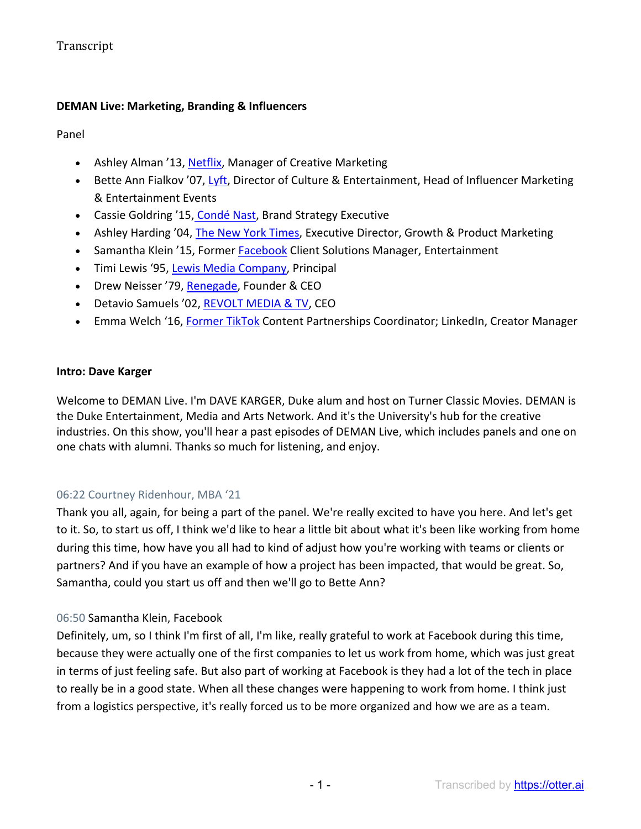### **DEMAN Live: Marketing, Branding & Influencers**

Panel

- Ashley Alman '13, Netflix, Manager of Creative Marketing
- Bette Ann Fialkov '07, Lyft, Director of Culture & Entertainment, Head of Influencer Marketing & Entertainment Events
- Cassie Goldring '15, Condé Nast, Brand Strategy Executive
- Ashley Harding '04, The New York Times, Executive Director, Growth & Product Marketing
- Samantha Klein '15, Former Facebook Client Solutions Manager, Entertainment
- Timi Lewis '95, Lewis Media Company, Principal
- Drew Neisser '79, Renegade, Founder & CEO
- Detavio Samuels '02, REVOLT MEDIA & TV, CEO
- Emma Welch '16, Former TikTok Content Partnerships Coordinator; LinkedIn, Creator Manager

#### **Intro: Dave Karger**

Welcome to DEMAN Live. I'm DAVE KARGER, Duke alum and host on Turner Classic Movies. DEMAN is the Duke Entertainment, Media and Arts Network. And it's the University's hub for the creative industries. On this show, you'll hear a past episodes of DEMAN Live, which includes panels and one on one chats with alumni. Thanks so much for listening, and enjoy.

#### 06:22 Courtney Ridenhour, MBA '21

Thank you all, again, for being a part of the panel. We're really excited to have you here. And let's get to it. So, to start us off, I think we'd like to hear a little bit about what it's been like working from home during this time, how have you all had to kind of adjust how you're working with teams or clients or partners? And if you have an example of how a project has been impacted, that would be great. So, Samantha, could you start us off and then we'll go to Bette Ann?

#### 06:50 Samantha Klein, Facebook

Definitely, um, so I think I'm first of all, I'm like, really grateful to work at Facebook during this time, because they were actually one of the first companies to let us work from home, which was just great in terms of just feeling safe. But also part of working at Facebook is they had a lot of the tech in place to really be in a good state. When all these changes were happening to work from home. I think just from a logistics perspective, it's really forced us to be more organized and how we are as a team.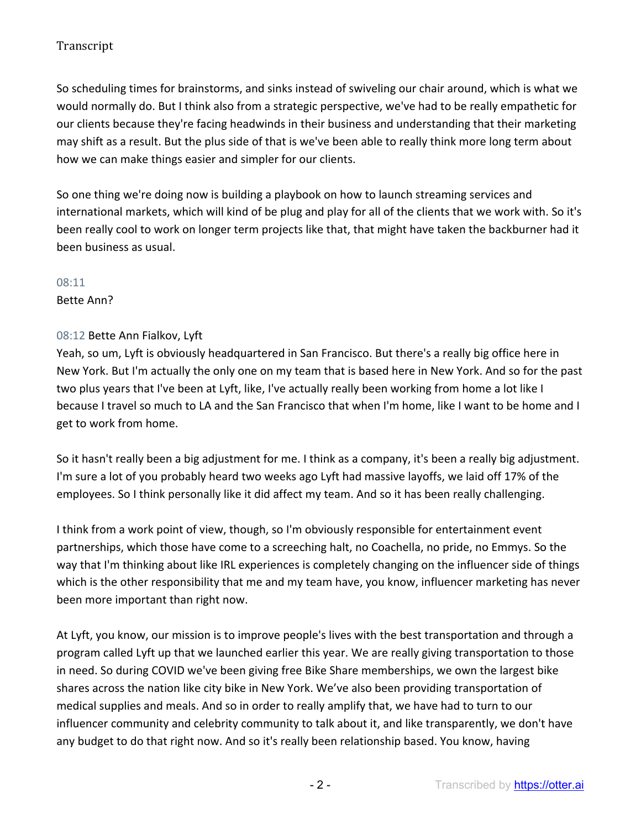So scheduling times for brainstorms, and sinks instead of swiveling our chair around, which is what we would normally do. But I think also from a strategic perspective, we've had to be really empathetic for our clients because they're facing headwinds in their business and understanding that their marketing may shift as a result. But the plus side of that is we've been able to really think more long term about how we can make things easier and simpler for our clients.

So one thing we're doing now is building a playbook on how to launch streaming services and international markets, which will kind of be plug and play for all of the clients that we work with. So it's been really cool to work on longer term projects like that, that might have taken the backburner had it been business as usual.

#### 08:11

Bette Ann?

### 08:12 Bette Ann Fialkov, Lyft

Yeah, so um, Lyft is obviously headquartered in San Francisco. But there's a really big office here in New York. But I'm actually the only one on my team that is based here in New York. And so for the past two plus years that I've been at Lyft, like, I've actually really been working from home a lot like I because I travel so much to LA and the San Francisco that when I'm home, like I want to be home and I get to work from home.

So it hasn't really been a big adjustment for me. I think as a company, it's been a really big adjustment. I'm sure a lot of you probably heard two weeks ago Lyft had massive layoffs, we laid off 17% of the employees. So I think personally like it did affect my team. And so it has been really challenging.

I think from a work point of view, though, so I'm obviously responsible for entertainment event partnerships, which those have come to a screeching halt, no Coachella, no pride, no Emmys. So the way that I'm thinking about like IRL experiences is completely changing on the influencer side of things which is the other responsibility that me and my team have, you know, influencer marketing has never been more important than right now.

At Lyft, you know, our mission is to improve people's lives with the best transportation and through a program called Lyft up that we launched earlier this year. We are really giving transportation to those in need. So during COVID we've been giving free Bike Share memberships, we own the largest bike shares across the nation like city bike in New York. We've also been providing transportation of medical supplies and meals. And so in order to really amplify that, we have had to turn to our influencer community and celebrity community to talk about it, and like transparently, we don't have any budget to do that right now. And so it's really been relationship based. You know, having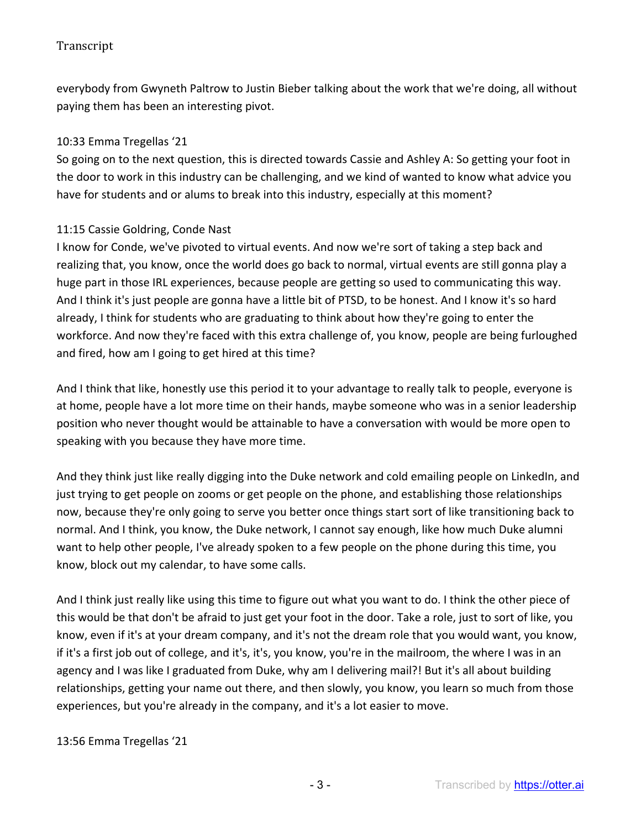everybody from Gwyneth Paltrow to Justin Bieber talking about the work that we're doing, all without paying them has been an interesting pivot.

### 10:33 Emma Tregellas '21

So going on to the next question, this is directed towards Cassie and Ashley A: So getting your foot in the door to work in this industry can be challenging, and we kind of wanted to know what advice you have for students and or alums to break into this industry, especially at this moment?

### 11:15 Cassie Goldring, Conde Nast

I know for Conde, we've pivoted to virtual events. And now we're sort of taking a step back and realizing that, you know, once the world does go back to normal, virtual events are still gonna play a huge part in those IRL experiences, because people are getting so used to communicating this way. And I think it's just people are gonna have a little bit of PTSD, to be honest. And I know it's so hard already, I think for students who are graduating to think about how they're going to enter the workforce. And now they're faced with this extra challenge of, you know, people are being furloughed and fired, how am I going to get hired at this time?

And I think that like, honestly use this period it to your advantage to really talk to people, everyone is at home, people have a lot more time on their hands, maybe someone who was in a senior leadership position who never thought would be attainable to have a conversation with would be more open to speaking with you because they have more time.

And they think just like really digging into the Duke network and cold emailing people on LinkedIn, and just trying to get people on zooms or get people on the phone, and establishing those relationships now, because they're only going to serve you better once things start sort of like transitioning back to normal. And I think, you know, the Duke network, I cannot say enough, like how much Duke alumni want to help other people, I've already spoken to a few people on the phone during this time, you know, block out my calendar, to have some calls.

And I think just really like using this time to figure out what you want to do. I think the other piece of this would be that don't be afraid to just get your foot in the door. Take a role, just to sort of like, you know, even if it's at your dream company, and it's not the dream role that you would want, you know, if it's a first job out of college, and it's, it's, you know, you're in the mailroom, the where I was in an agency and I was like I graduated from Duke, why am I delivering mail?! But it's all about building relationships, getting your name out there, and then slowly, you know, you learn so much from those experiences, but you're already in the company, and it's a lot easier to move.

#### 13:56 Emma Tregellas '21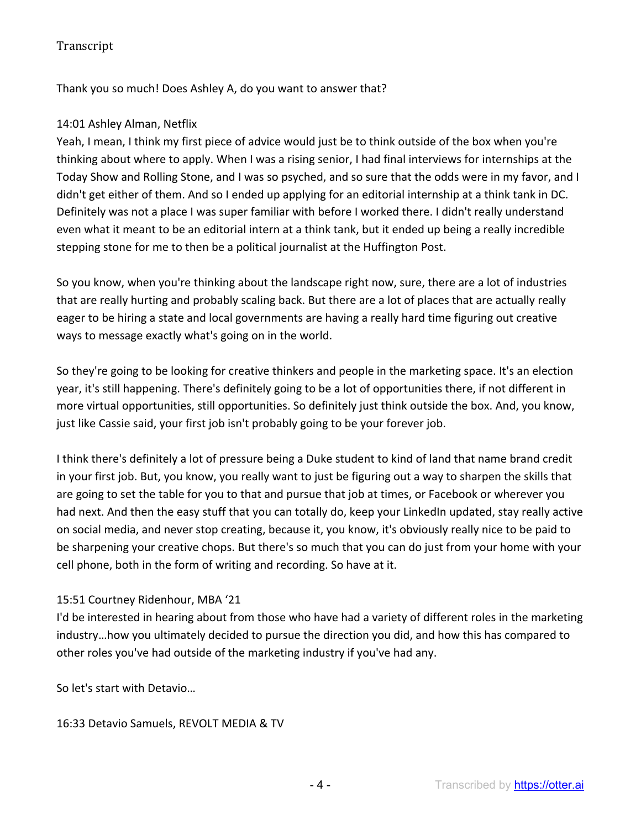Thank you so much! Does Ashley A, do you want to answer that?

## 14:01 Ashley Alman, Netflix

Yeah, I mean, I think my first piece of advice would just be to think outside of the box when you're thinking about where to apply. When I was a rising senior, I had final interviews for internships at the Today Show and Rolling Stone, and I was so psyched, and so sure that the odds were in my favor, and I didn't get either of them. And so I ended up applying for an editorial internship at a think tank in DC. Definitely was not a place I was super familiar with before I worked there. I didn't really understand even what it meant to be an editorial intern at a think tank, but it ended up being a really incredible stepping stone for me to then be a political journalist at the Huffington Post.

So you know, when you're thinking about the landscape right now, sure, there are a lot of industries that are really hurting and probably scaling back. But there are a lot of places that are actually really eager to be hiring a state and local governments are having a really hard time figuring out creative ways to message exactly what's going on in the world.

So they're going to be looking for creative thinkers and people in the marketing space. It's an election year, it's still happening. There's definitely going to be a lot of opportunities there, if not different in more virtual opportunities, still opportunities. So definitely just think outside the box. And, you know, just like Cassie said, your first job isn't probably going to be your forever job.

I think there's definitely a lot of pressure being a Duke student to kind of land that name brand credit in your first job. But, you know, you really want to just be figuring out a way to sharpen the skills that are going to set the table for you to that and pursue that job at times, or Facebook or wherever you had next. And then the easy stuff that you can totally do, keep your LinkedIn updated, stay really active on social media, and never stop creating, because it, you know, it's obviously really nice to be paid to be sharpening your creative chops. But there's so much that you can do just from your home with your cell phone, both in the form of writing and recording. So have at it.

## 15:51 Courtney Ridenhour, MBA '21

I'd be interested in hearing about from those who have had a variety of different roles in the marketing industry…how you ultimately decided to pursue the direction you did, and how this has compared to other roles you've had outside of the marketing industry if you've had any.

So let's start with Detavio…

16:33 Detavio Samuels, REVOLT MEDIA & TV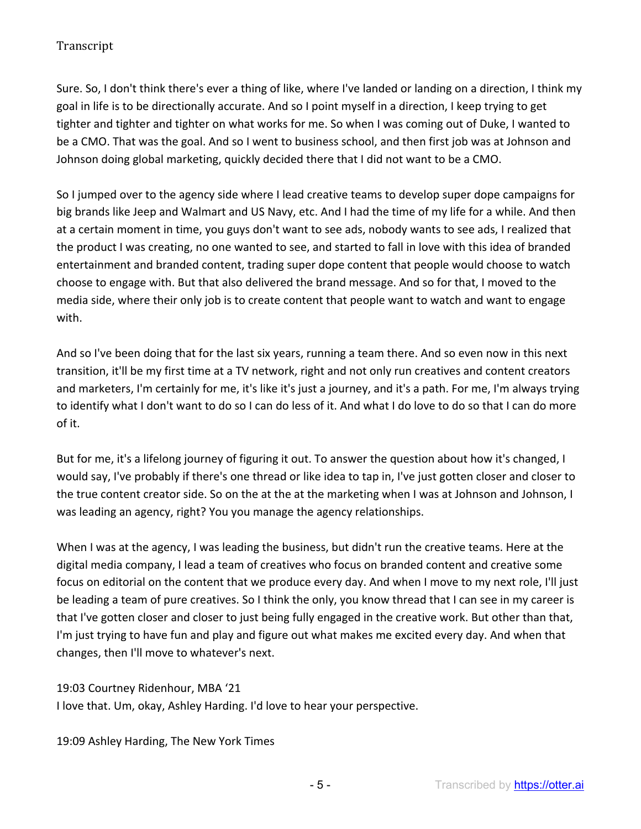Sure. So, I don't think there's ever a thing of like, where I've landed or landing on a direction, I think my goal in life is to be directionally accurate. And so I point myself in a direction, I keep trying to get tighter and tighter and tighter on what works for me. So when I was coming out of Duke, I wanted to be a CMO. That was the goal. And so I went to business school, and then first job was at Johnson and Johnson doing global marketing, quickly decided there that I did not want to be a CMO.

So I jumped over to the agency side where I lead creative teams to develop super dope campaigns for big brands like Jeep and Walmart and US Navy, etc. And I had the time of my life for a while. And then at a certain moment in time, you guys don't want to see ads, nobody wants to see ads, I realized that the product I was creating, no one wanted to see, and started to fall in love with this idea of branded entertainment and branded content, trading super dope content that people would choose to watch choose to engage with. But that also delivered the brand message. And so for that, I moved to the media side, where their only job is to create content that people want to watch and want to engage with.

And so I've been doing that for the last six years, running a team there. And so even now in this next transition, it'll be my first time at a TV network, right and not only run creatives and content creators and marketers, I'm certainly for me, it's like it's just a journey, and it's a path. For me, I'm always trying to identify what I don't want to do so I can do less of it. And what I do love to do so that I can do more of it.

But for me, it's a lifelong journey of figuring it out. To answer the question about how it's changed, I would say, I've probably if there's one thread or like idea to tap in, I've just gotten closer and closer to the true content creator side. So on the at the at the marketing when I was at Johnson and Johnson, I was leading an agency, right? You you manage the agency relationships.

When I was at the agency, I was leading the business, but didn't run the creative teams. Here at the digital media company, I lead a team of creatives who focus on branded content and creative some focus on editorial on the content that we produce every day. And when I move to my next role, I'll just be leading a team of pure creatives. So I think the only, you know thread that I can see in my career is that I've gotten closer and closer to just being fully engaged in the creative work. But other than that, I'm just trying to have fun and play and figure out what makes me excited every day. And when that changes, then I'll move to whatever's next.

19:03 Courtney Ridenhour, MBA '21 I love that. Um, okay, Ashley Harding. I'd love to hear your perspective.

19:09 Ashley Harding, The New York Times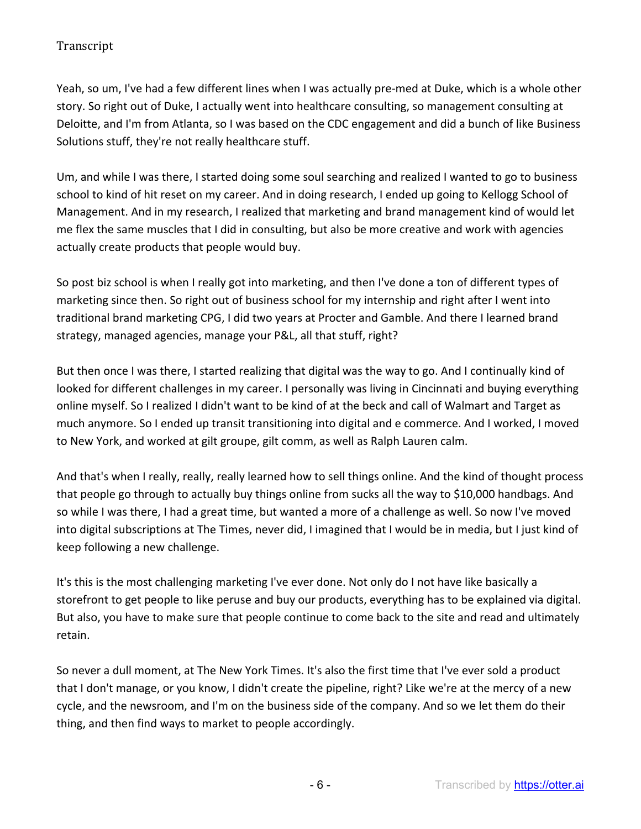Yeah, so um, I've had a few different lines when I was actually pre-med at Duke, which is a whole other story. So right out of Duke, I actually went into healthcare consulting, so management consulting at Deloitte, and I'm from Atlanta, so I was based on the CDC engagement and did a bunch of like Business Solutions stuff, they're not really healthcare stuff.

Um, and while I was there, I started doing some soul searching and realized I wanted to go to business school to kind of hit reset on my career. And in doing research, I ended up going to Kellogg School of Management. And in my research, I realized that marketing and brand management kind of would let me flex the same muscles that I did in consulting, but also be more creative and work with agencies actually create products that people would buy.

So post biz school is when I really got into marketing, and then I've done a ton of different types of marketing since then. So right out of business school for my internship and right after I went into traditional brand marketing CPG, I did two years at Procter and Gamble. And there I learned brand strategy, managed agencies, manage your P&L, all that stuff, right?

But then once I was there, I started realizing that digital was the way to go. And I continually kind of looked for different challenges in my career. I personally was living in Cincinnati and buying everything online myself. So I realized I didn't want to be kind of at the beck and call of Walmart and Target as much anymore. So I ended up transit transitioning into digital and e commerce. And I worked, I moved to New York, and worked at gilt groupe, gilt comm, as well as Ralph Lauren calm.

And that's when I really, really, really learned how to sell things online. And the kind of thought process that people go through to actually buy things online from sucks all the way to \$10,000 handbags. And so while I was there, I had a great time, but wanted a more of a challenge as well. So now I've moved into digital subscriptions at The Times, never did, I imagined that I would be in media, but I just kind of keep following a new challenge.

It's this is the most challenging marketing I've ever done. Not only do I not have like basically a storefront to get people to like peruse and buy our products, everything has to be explained via digital. But also, you have to make sure that people continue to come back to the site and read and ultimately retain.

So never a dull moment, at The New York Times. It's also the first time that I've ever sold a product that I don't manage, or you know, I didn't create the pipeline, right? Like we're at the mercy of a new cycle, and the newsroom, and I'm on the business side of the company. And so we let them do their thing, and then find ways to market to people accordingly.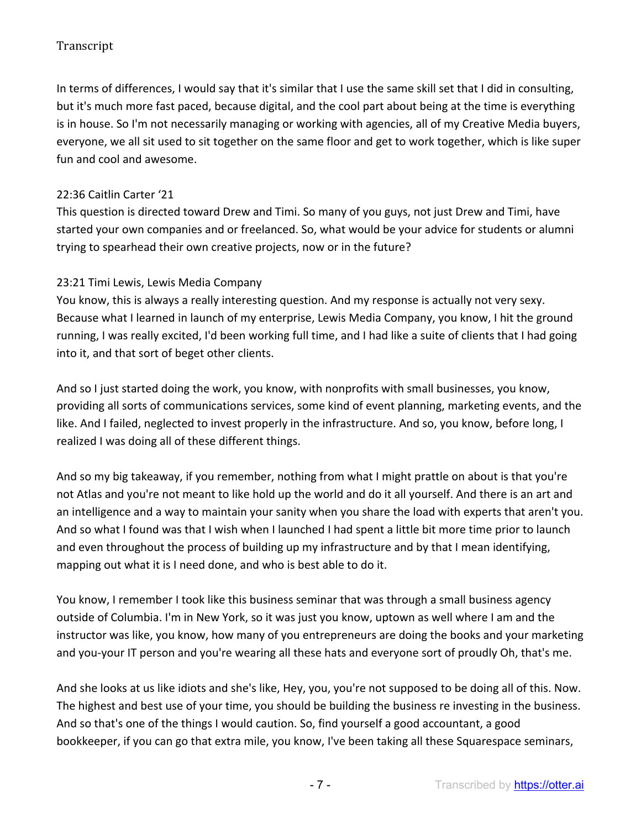In terms of differences, I would say that it's similar that I use the same skill set that I did in consulting, but it's much more fast paced, because digital, and the cool part about being at the time is everything is in house. So I'm not necessarily managing or working with agencies, all of my Creative Media buyers, everyone, we all sit used to sit together on the same floor and get to work together, which is like super fun and cool and awesome.

### 22:36 Caitlin Carter '21

This question is directed toward Drew and Timi. So many of you guys, not just Drew and Timi, have started your own companies and or freelanced. So, what would be your advice for students or alumni trying to spearhead their own creative projects, now or in the future?

### 23:21 Timi Lewis, Lewis Media Company

You know, this is always a really interesting question. And my response is actually not very sexy. Because what I learned in launch of my enterprise, Lewis Media Company, you know, I hit the ground running, I was really excited, I'd been working full time, and I had like a suite of clients that I had going into it, and that sort of beget other clients.

And so I just started doing the work, you know, with nonprofits with small businesses, you know, providing all sorts of communications services, some kind of event planning, marketing events, and the like. And I failed, neglected to invest properly in the infrastructure. And so, you know, before long, I realized I was doing all of these different things.

And so my big takeaway, if you remember, nothing from what I might prattle on about is that you're not Atlas and you're not meant to like hold up the world and do it all yourself. And there is an art and an intelligence and a way to maintain your sanity when you share the load with experts that aren't you. And so what I found was that I wish when I launched I had spent a little bit more time prior to launch and even throughout the process of building up my infrastructure and by that I mean identifying, mapping out what it is I need done, and who is best able to do it.

You know, I remember I took like this business seminar that was through a small business agency outside of Columbia. I'm in New York, so it was just you know, uptown as well where I am and the instructor was like, you know, how many of you entrepreneurs are doing the books and your marketing and you-your IT person and you're wearing all these hats and everyone sort of proudly Oh, that's me.

And she looks at us like idiots and she's like, Hey, you, you're not supposed to be doing all of this. Now. The highest and best use of your time, you should be building the business re investing in the business. And so that's one of the things I would caution. So, find yourself a good accountant, a good bookkeeper, if you can go that extra mile, you know, I've been taking all these Squarespace seminars,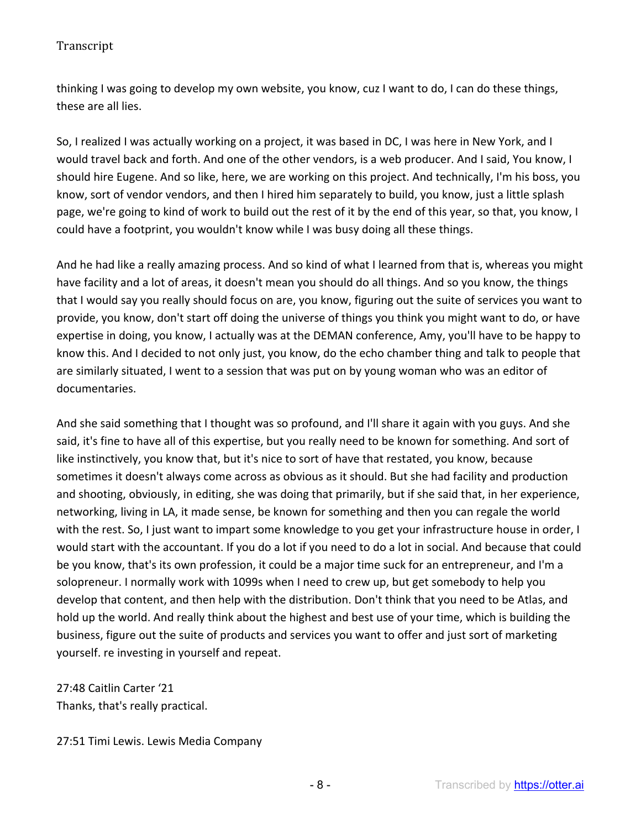thinking I was going to develop my own website, you know, cuz I want to do, I can do these things, these are all lies.

So, I realized I was actually working on a project, it was based in DC, I was here in New York, and I would travel back and forth. And one of the other vendors, is a web producer. And I said, You know, I should hire Eugene. And so like, here, we are working on this project. And technically, I'm his boss, you know, sort of vendor vendors, and then I hired him separately to build, you know, just a little splash page, we're going to kind of work to build out the rest of it by the end of this year, so that, you know, I could have a footprint, you wouldn't know while I was busy doing all these things.

And he had like a really amazing process. And so kind of what I learned from that is, whereas you might have facility and a lot of areas, it doesn't mean you should do all things. And so you know, the things that I would say you really should focus on are, you know, figuring out the suite of services you want to provide, you know, don't start off doing the universe of things you think you might want to do, or have expertise in doing, you know, I actually was at the DEMAN conference, Amy, you'll have to be happy to know this. And I decided to not only just, you know, do the echo chamber thing and talk to people that are similarly situated, I went to a session that was put on by young woman who was an editor of documentaries.

And she said something that I thought was so profound, and I'll share it again with you guys. And she said, it's fine to have all of this expertise, but you really need to be known for something. And sort of like instinctively, you know that, but it's nice to sort of have that restated, you know, because sometimes it doesn't always come across as obvious as it should. But she had facility and production and shooting, obviously, in editing, she was doing that primarily, but if she said that, in her experience, networking, living in LA, it made sense, be known for something and then you can regale the world with the rest. So, I just want to impart some knowledge to you get your infrastructure house in order, I would start with the accountant. If you do a lot if you need to do a lot in social. And because that could be you know, that's its own profession, it could be a major time suck for an entrepreneur, and I'm a solopreneur. I normally work with 1099s when I need to crew up, but get somebody to help you develop that content, and then help with the distribution. Don't think that you need to be Atlas, and hold up the world. And really think about the highest and best use of your time, which is building the business, figure out the suite of products and services you want to offer and just sort of marketing yourself. re investing in yourself and repeat.

27:48 Caitlin Carter '21 Thanks, that's really practical.

27:51 Timi Lewis. Lewis Media Company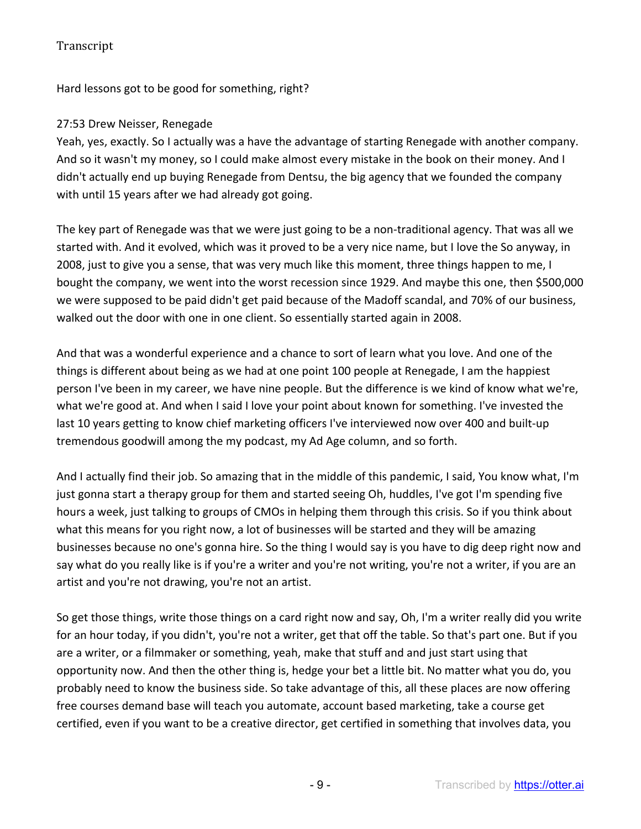Hard lessons got to be good for something, right?

## 27:53 Drew Neisser, Renegade

Yeah, yes, exactly. So I actually was a have the advantage of starting Renegade with another company. And so it wasn't my money, so I could make almost every mistake in the book on their money. And I didn't actually end up buying Renegade from Dentsu, the big agency that we founded the company with until 15 years after we had already got going.

The key part of Renegade was that we were just going to be a non-traditional agency. That was all we started with. And it evolved, which was it proved to be a very nice name, but I love the So anyway, in 2008, just to give you a sense, that was very much like this moment, three things happen to me, I bought the company, we went into the worst recession since 1929. And maybe this one, then \$500,000 we were supposed to be paid didn't get paid because of the Madoff scandal, and 70% of our business, walked out the door with one in one client. So essentially started again in 2008.

And that was a wonderful experience and a chance to sort of learn what you love. And one of the things is different about being as we had at one point 100 people at Renegade, I am the happiest person I've been in my career, we have nine people. But the difference is we kind of know what we're, what we're good at. And when I said I love your point about known for something. I've invested the last 10 years getting to know chief marketing officers I've interviewed now over 400 and built-up tremendous goodwill among the my podcast, my Ad Age column, and so forth.

And I actually find their job. So amazing that in the middle of this pandemic, I said, You know what, I'm just gonna start a therapy group for them and started seeing Oh, huddles, I've got I'm spending five hours a week, just talking to groups of CMOs in helping them through this crisis. So if you think about what this means for you right now, a lot of businesses will be started and they will be amazing businesses because no one's gonna hire. So the thing I would say is you have to dig deep right now and say what do you really like is if you're a writer and you're not writing, you're not a writer, if you are an artist and you're not drawing, you're not an artist.

So get those things, write those things on a card right now and say, Oh, I'm a writer really did you write for an hour today, if you didn't, you're not a writer, get that off the table. So that's part one. But if you are a writer, or a filmmaker or something, yeah, make that stuff and and just start using that opportunity now. And then the other thing is, hedge your bet a little bit. No matter what you do, you probably need to know the business side. So take advantage of this, all these places are now offering free courses demand base will teach you automate, account based marketing, take a course get certified, even if you want to be a creative director, get certified in something that involves data, you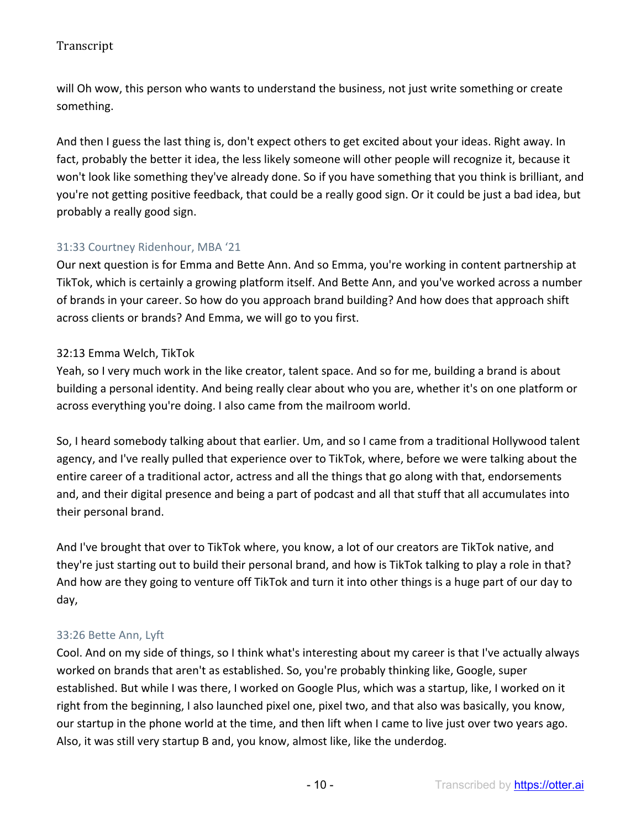will Oh wow, this person who wants to understand the business, not just write something or create something.

And then I guess the last thing is, don't expect others to get excited about your ideas. Right away. In fact, probably the better it idea, the less likely someone will other people will recognize it, because it won't look like something they've already done. So if you have something that you think is brilliant, and you're not getting positive feedback, that could be a really good sign. Or it could be just a bad idea, but probably a really good sign.

## 31:33 Courtney Ridenhour, MBA '21

Our next question is for Emma and Bette Ann. And so Emma, you're working in content partnership at TikTok, which is certainly a growing platform itself. And Bette Ann, and you've worked across a number of brands in your career. So how do you approach brand building? And how does that approach shift across clients or brands? And Emma, we will go to you first.

## 32:13 Emma Welch, TikTok

Yeah, so I very much work in the like creator, talent space. And so for me, building a brand is about building a personal identity. And being really clear about who you are, whether it's on one platform or across everything you're doing. I also came from the mailroom world.

So, I heard somebody talking about that earlier. Um, and so I came from a traditional Hollywood talent agency, and I've really pulled that experience over to TikTok, where, before we were talking about the entire career of a traditional actor, actress and all the things that go along with that, endorsements and, and their digital presence and being a part of podcast and all that stuff that all accumulates into their personal brand.

And I've brought that over to TikTok where, you know, a lot of our creators are TikTok native, and they're just starting out to build their personal brand, and how is TikTok talking to play a role in that? And how are they going to venture off TikTok and turn it into other things is a huge part of our day to day,

## 33:26 Bette Ann, Lyft

Cool. And on my side of things, so I think what's interesting about my career is that I've actually always worked on brands that aren't as established. So, you're probably thinking like, Google, super established. But while I was there, I worked on Google Plus, which was a startup, like, I worked on it right from the beginning, I also launched pixel one, pixel two, and that also was basically, you know, our startup in the phone world at the time, and then lift when I came to live just over two years ago. Also, it was still very startup B and, you know, almost like, like the underdog.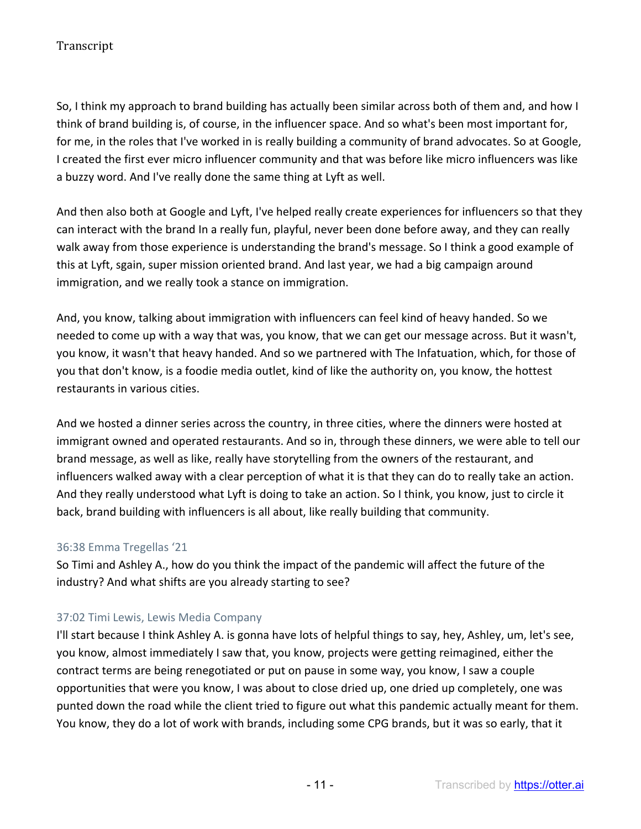So, I think my approach to brand building has actually been similar across both of them and, and how I think of brand building is, of course, in the influencer space. And so what's been most important for, for me, in the roles that I've worked in is really building a community of brand advocates. So at Google, I created the first ever micro influencer community and that was before like micro influencers was like a buzzy word. And I've really done the same thing at Lyft as well.

And then also both at Google and Lyft, I've helped really create experiences for influencers so that they can interact with the brand In a really fun, playful, never been done before away, and they can really walk away from those experience is understanding the brand's message. So I think a good example of this at Lyft, sgain, super mission oriented brand. And last year, we had a big campaign around immigration, and we really took a stance on immigration.

And, you know, talking about immigration with influencers can feel kind of heavy handed. So we needed to come up with a way that was, you know, that we can get our message across. But it wasn't, you know, it wasn't that heavy handed. And so we partnered with The Infatuation, which, for those of you that don't know, is a foodie media outlet, kind of like the authority on, you know, the hottest restaurants in various cities.

And we hosted a dinner series across the country, in three cities, where the dinners were hosted at immigrant owned and operated restaurants. And so in, through these dinners, we were able to tell our brand message, as well as like, really have storytelling from the owners of the restaurant, and influencers walked away with a clear perception of what it is that they can do to really take an action. And they really understood what Lyft is doing to take an action. So I think, you know, just to circle it back, brand building with influencers is all about, like really building that community.

#### 36:38 Emma Tregellas '21

So Timi and Ashley A., how do you think the impact of the pandemic will affect the future of the industry? And what shifts are you already starting to see?

## 37:02 Timi Lewis, Lewis Media Company

I'll start because I think Ashley A. is gonna have lots of helpful things to say, hey, Ashley, um, let's see, you know, almost immediately I saw that, you know, projects were getting reimagined, either the contract terms are being renegotiated or put on pause in some way, you know, I saw a couple opportunities that were you know, I was about to close dried up, one dried up completely, one was punted down the road while the client tried to figure out what this pandemic actually meant for them. You know, they do a lot of work with brands, including some CPG brands, but it was so early, that it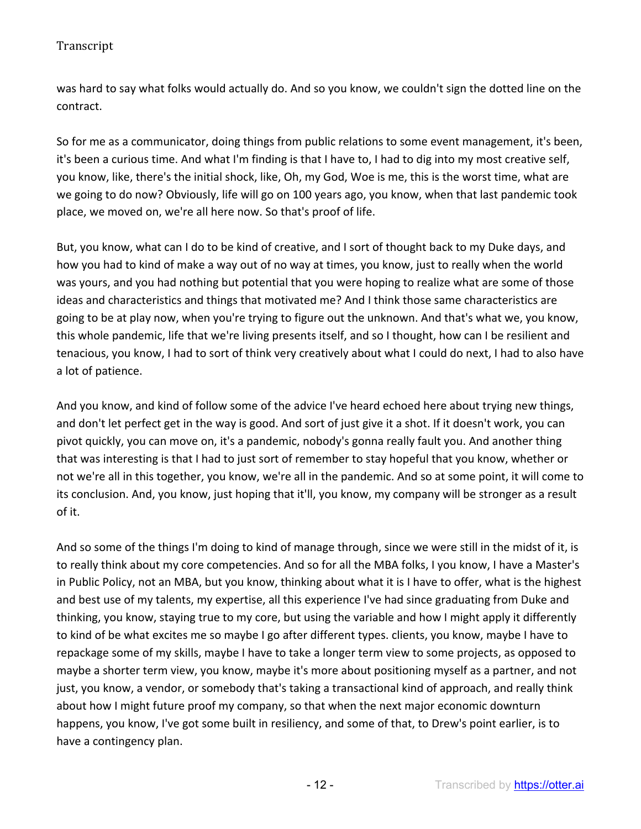was hard to say what folks would actually do. And so you know, we couldn't sign the dotted line on the contract.

So for me as a communicator, doing things from public relations to some event management, it's been, it's been a curious time. And what I'm finding is that I have to, I had to dig into my most creative self, you know, like, there's the initial shock, like, Oh, my God, Woe is me, this is the worst time, what are we going to do now? Obviously, life will go on 100 years ago, you know, when that last pandemic took place, we moved on, we're all here now. So that's proof of life.

But, you know, what can I do to be kind of creative, and I sort of thought back to my Duke days, and how you had to kind of make a way out of no way at times, you know, just to really when the world was yours, and you had nothing but potential that you were hoping to realize what are some of those ideas and characteristics and things that motivated me? And I think those same characteristics are going to be at play now, when you're trying to figure out the unknown. And that's what we, you know, this whole pandemic, life that we're living presents itself, and so I thought, how can I be resilient and tenacious, you know, I had to sort of think very creatively about what I could do next, I had to also have a lot of patience.

And you know, and kind of follow some of the advice I've heard echoed here about trying new things, and don't let perfect get in the way is good. And sort of just give it a shot. If it doesn't work, you can pivot quickly, you can move on, it's a pandemic, nobody's gonna really fault you. And another thing that was interesting is that I had to just sort of remember to stay hopeful that you know, whether or not we're all in this together, you know, we're all in the pandemic. And so at some point, it will come to its conclusion. And, you know, just hoping that it'll, you know, my company will be stronger as a result of it.

And so some of the things I'm doing to kind of manage through, since we were still in the midst of it, is to really think about my core competencies. And so for all the MBA folks, I you know, I have a Master's in Public Policy, not an MBA, but you know, thinking about what it is I have to offer, what is the highest and best use of my talents, my expertise, all this experience I've had since graduating from Duke and thinking, you know, staying true to my core, but using the variable and how I might apply it differently to kind of be what excites me so maybe I go after different types. clients, you know, maybe I have to repackage some of my skills, maybe I have to take a longer term view to some projects, as opposed to maybe a shorter term view, you know, maybe it's more about positioning myself as a partner, and not just, you know, a vendor, or somebody that's taking a transactional kind of approach, and really think about how I might future proof my company, so that when the next major economic downturn happens, you know, I've got some built in resiliency, and some of that, to Drew's point earlier, is to have a contingency plan.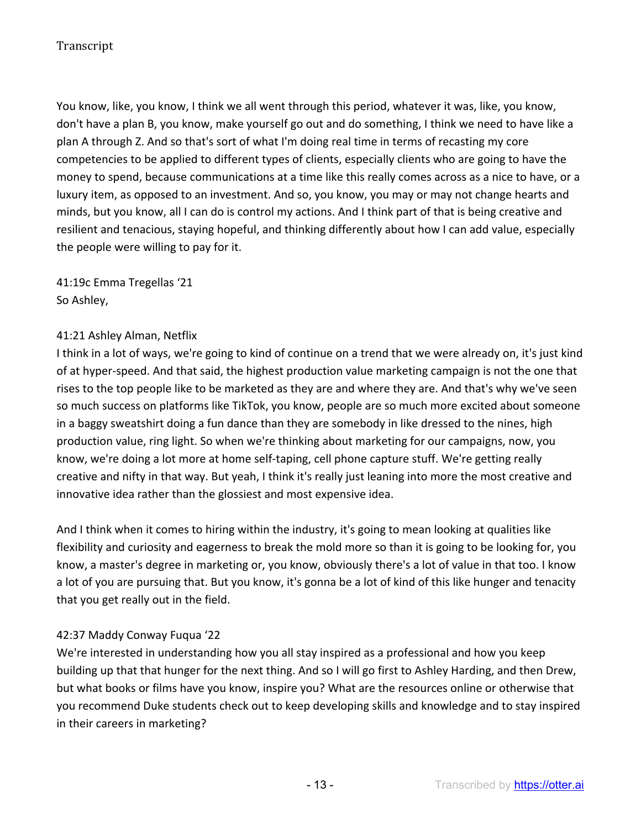You know, like, you know, I think we all went through this period, whatever it was, like, you know, don't have a plan B, you know, make yourself go out and do something, I think we need to have like a plan A through Z. And so that's sort of what I'm doing real time in terms of recasting my core competencies to be applied to different types of clients, especially clients who are going to have the money to spend, because communications at a time like this really comes across as a nice to have, or a luxury item, as opposed to an investment. And so, you know, you may or may not change hearts and minds, but you know, all I can do is control my actions. And I think part of that is being creative and resilient and tenacious, staying hopeful, and thinking differently about how I can add value, especially the people were willing to pay for it.

41:19c Emma Tregellas '21 So Ashley,

#### 41:21 Ashley Alman, Netflix

I think in a lot of ways, we're going to kind of continue on a trend that we were already on, it's just kind of at hyper-speed. And that said, the highest production value marketing campaign is not the one that rises to the top people like to be marketed as they are and where they are. And that's why we've seen so much success on platforms like TikTok, you know, people are so much more excited about someone in a baggy sweatshirt doing a fun dance than they are somebody in like dressed to the nines, high production value, ring light. So when we're thinking about marketing for our campaigns, now, you know, we're doing a lot more at home self-taping, cell phone capture stuff. We're getting really creative and nifty in that way. But yeah, I think it's really just leaning into more the most creative and innovative idea rather than the glossiest and most expensive idea.

And I think when it comes to hiring within the industry, it's going to mean looking at qualities like flexibility and curiosity and eagerness to break the mold more so than it is going to be looking for, you know, a master's degree in marketing or, you know, obviously there's a lot of value in that too. I know a lot of you are pursuing that. But you know, it's gonna be a lot of kind of this like hunger and tenacity that you get really out in the field.

#### 42:37 Maddy Conway Fuqua '22

We're interested in understanding how you all stay inspired as a professional and how you keep building up that that hunger for the next thing. And so I will go first to Ashley Harding, and then Drew, but what books or films have you know, inspire you? What are the resources online or otherwise that you recommend Duke students check out to keep developing skills and knowledge and to stay inspired in their careers in marketing?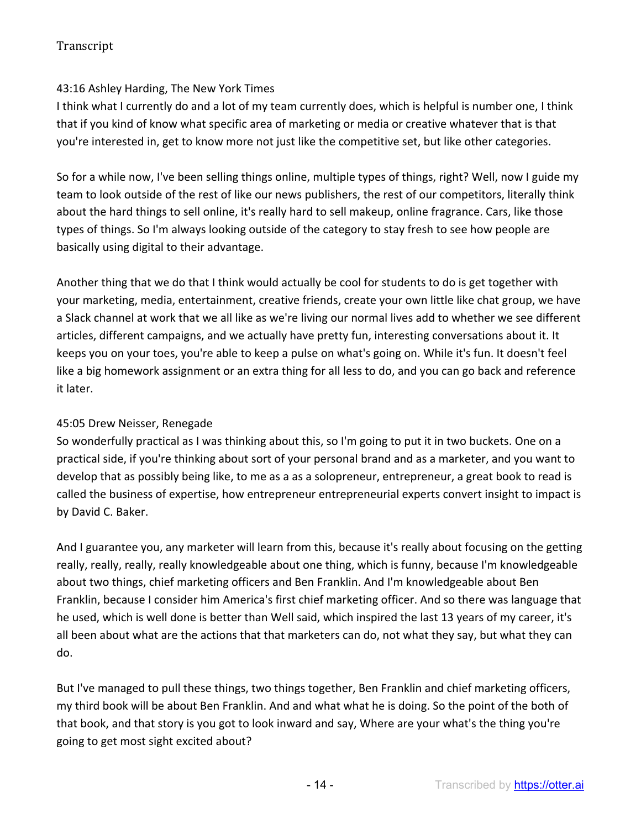### 43:16 Ashley Harding, The New York Times

I think what I currently do and a lot of my team currently does, which is helpful is number one, I think that if you kind of know what specific area of marketing or media or creative whatever that is that you're interested in, get to know more not just like the competitive set, but like other categories.

So for a while now, I've been selling things online, multiple types of things, right? Well, now I guide my team to look outside of the rest of like our news publishers, the rest of our competitors, literally think about the hard things to sell online, it's really hard to sell makeup, online fragrance. Cars, like those types of things. So I'm always looking outside of the category to stay fresh to see how people are basically using digital to their advantage.

Another thing that we do that I think would actually be cool for students to do is get together with your marketing, media, entertainment, creative friends, create your own little like chat group, we have a Slack channel at work that we all like as we're living our normal lives add to whether we see different articles, different campaigns, and we actually have pretty fun, interesting conversations about it. It keeps you on your toes, you're able to keep a pulse on what's going on. While it's fun. It doesn't feel like a big homework assignment or an extra thing for all less to do, and you can go back and reference it later.

#### 45:05 Drew Neisser, Renegade

So wonderfully practical as I was thinking about this, so I'm going to put it in two buckets. One on a practical side, if you're thinking about sort of your personal brand and as a marketer, and you want to develop that as possibly being like, to me as a as a solopreneur, entrepreneur, a great book to read is called the business of expertise, how entrepreneur entrepreneurial experts convert insight to impact is by David C. Baker.

And I guarantee you, any marketer will learn from this, because it's really about focusing on the getting really, really, really, really knowledgeable about one thing, which is funny, because I'm knowledgeable about two things, chief marketing officers and Ben Franklin. And I'm knowledgeable about Ben Franklin, because I consider him America's first chief marketing officer. And so there was language that he used, which is well done is better than Well said, which inspired the last 13 years of my career, it's all been about what are the actions that that marketers can do, not what they say, but what they can do.

But I've managed to pull these things, two things together, Ben Franklin and chief marketing officers, my third book will be about Ben Franklin. And and what what he is doing. So the point of the both of that book, and that story is you got to look inward and say, Where are your what's the thing you're going to get most sight excited about?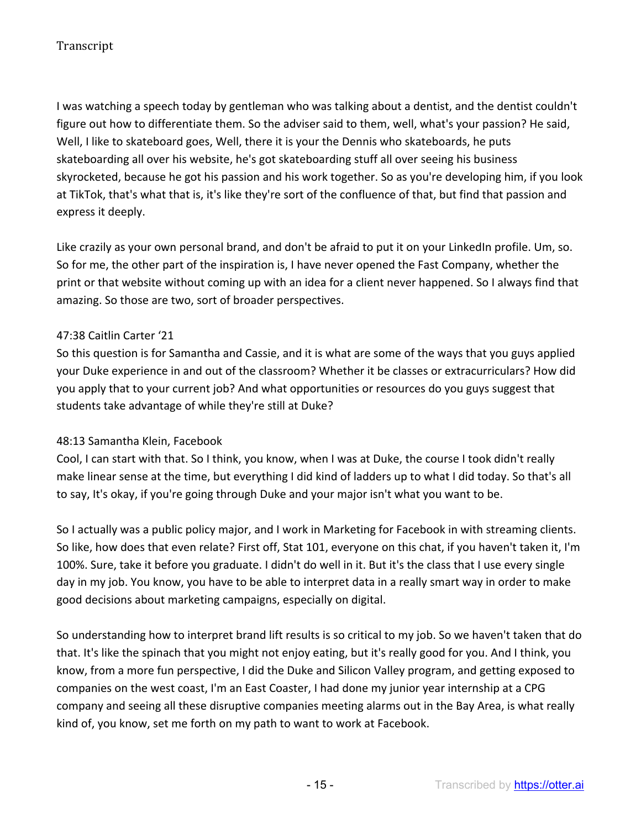I was watching a speech today by gentleman who was talking about a dentist, and the dentist couldn't figure out how to differentiate them. So the adviser said to them, well, what's your passion? He said, Well, I like to skateboard goes, Well, there it is your the Dennis who skateboards, he puts skateboarding all over his website, he's got skateboarding stuff all over seeing his business skyrocketed, because he got his passion and his work together. So as you're developing him, if you look at TikTok, that's what that is, it's like they're sort of the confluence of that, but find that passion and express it deeply.

Like crazily as your own personal brand, and don't be afraid to put it on your LinkedIn profile. Um, so. So for me, the other part of the inspiration is, I have never opened the Fast Company, whether the print or that website without coming up with an idea for a client never happened. So I always find that amazing. So those are two, sort of broader perspectives.

## 47:38 Caitlin Carter '21

So this question is for Samantha and Cassie, and it is what are some of the ways that you guys applied your Duke experience in and out of the classroom? Whether it be classes or extracurriculars? How did you apply that to your current job? And what opportunities or resources do you guys suggest that students take advantage of while they're still at Duke?

## 48:13 Samantha Klein, Facebook

Cool, I can start with that. So I think, you know, when I was at Duke, the course I took didn't really make linear sense at the time, but everything I did kind of ladders up to what I did today. So that's all to say, It's okay, if you're going through Duke and your major isn't what you want to be.

So I actually was a public policy major, and I work in Marketing for Facebook in with streaming clients. So like, how does that even relate? First off, Stat 101, everyone on this chat, if you haven't taken it, I'm 100%. Sure, take it before you graduate. I didn't do well in it. But it's the class that I use every single day in my job. You know, you have to be able to interpret data in a really smart way in order to make good decisions about marketing campaigns, especially on digital.

So understanding how to interpret brand lift results is so critical to my job. So we haven't taken that do that. It's like the spinach that you might not enjoy eating, but it's really good for you. And I think, you know, from a more fun perspective, I did the Duke and Silicon Valley program, and getting exposed to companies on the west coast, I'm an East Coaster, I had done my junior year internship at a CPG company and seeing all these disruptive companies meeting alarms out in the Bay Area, is what really kind of, you know, set me forth on my path to want to work at Facebook.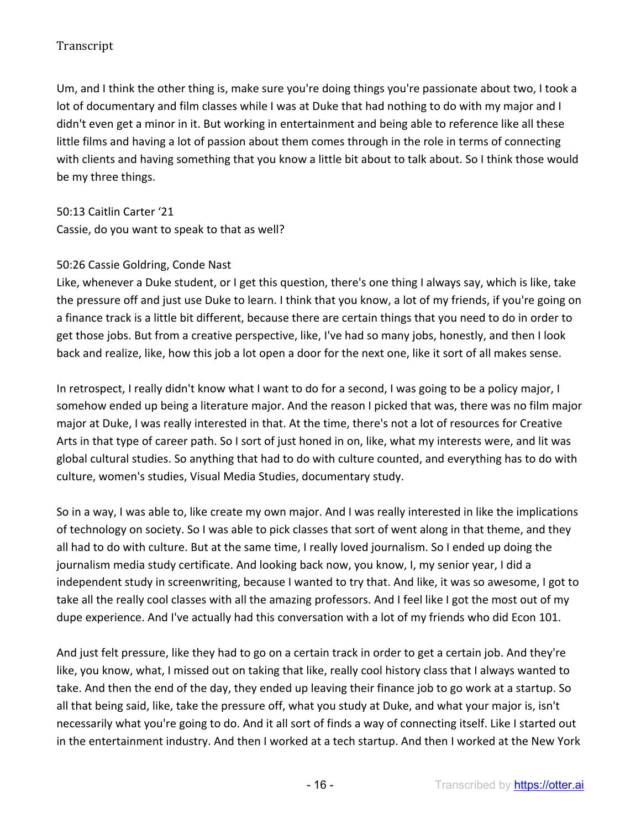Um, and I think the other thing is, make sure you're doing things you're passionate about two, I took a lot of documentary and film classes while I was at Duke that had nothing to do with my major and I didn't even get a minor in it. But working in entertainment and being able to reference like all these little films and having a lot of passion about them comes through in the role in terms of connecting with clients and having something that you know a little bit about to talk about. So I think those would be my three things.

50:13 Caitlin Carter '21

Cassie, do you want to speak to that as well?

## 50:26 Cassie Goldring, Conde Nast

Like, whenever a Duke student, or I get this question, there's one thing I always say, which is like, take the pressure off and just use Duke to learn. I think that you know, a lot of my friends, if you're going on a finance track is a little bit different, because there are certain things that you need to do in order to get those jobs. But from a creative perspective, like, I've had so many jobs, honestly, and then I look back and realize, like, how this job a lot open a door for the next one, like it sort of all makes sense.

In retrospect, I really didn't know what I want to do for a second, I was going to be a policy major, I somehow ended up being a literature major. And the reason I picked that was, there was no film major major at Duke, I was really interested in that. At the time, there's not a lot of resources for Creative Arts in that type of career path. So I sort of just honed in on, like, what my interests were, and lit was global cultural studies. So anything that had to do with culture counted, and everything has to do with culture, women's studies, Visual Media Studies, documentary study.

So in a way, I was able to, like create my own major. And I was really interested in like the implications of technology on society. So I was able to pick classes that sort of went along in that theme, and they all had to do with culture. But at the same time, I really loved journalism. So I ended up doing the journalism media study certificate. And looking back now, you know, I, my senior year, I did a independent study in screenwriting, because I wanted to try that. And like, it was so awesome, I got to take all the really cool classes with all the amazing professors. And I feel like I got the most out of my dupe experience. And I've actually had this conversation with a lot of my friends who did Econ 101.

And just felt pressure, like they had to go on a certain track in order to get a certain job. And they're like, you know, what, I missed out on taking that like, really cool history class that I always wanted to take. And then the end of the day, they ended up leaving their finance job to go work at a startup. So all that being said, like, take the pressure off, what you study at Duke, and what your major is, isn't necessarily what you're going to do. And it all sort of finds a way of connecting itself. Like I started out in the entertainment industry. And then I worked at a tech startup. And then I worked at the New York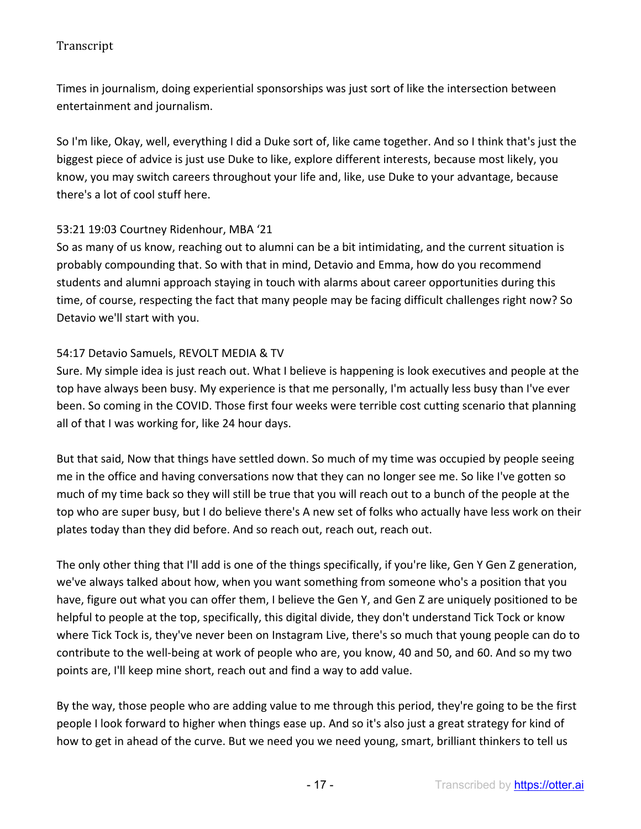Times in journalism, doing experiential sponsorships was just sort of like the intersection between entertainment and journalism.

So I'm like, Okay, well, everything I did a Duke sort of, like came together. And so I think that's just the biggest piece of advice is just use Duke to like, explore different interests, because most likely, you know, you may switch careers throughout your life and, like, use Duke to your advantage, because there's a lot of cool stuff here.

## 53:21 19:03 Courtney Ridenhour, MBA '21

So as many of us know, reaching out to alumni can be a bit intimidating, and the current situation is probably compounding that. So with that in mind, Detavio and Emma, how do you recommend students and alumni approach staying in touch with alarms about career opportunities during this time, of course, respecting the fact that many people may be facing difficult challenges right now? So Detavio we'll start with you.

### 54:17 Detavio Samuels, REVOLT MEDIA & TV

Sure. My simple idea is just reach out. What I believe is happening is look executives and people at the top have always been busy. My experience is that me personally, I'm actually less busy than I've ever been. So coming in the COVID. Those first four weeks were terrible cost cutting scenario that planning all of that I was working for, like 24 hour days.

But that said, Now that things have settled down. So much of my time was occupied by people seeing me in the office and having conversations now that they can no longer see me. So like I've gotten so much of my time back so they will still be true that you will reach out to a bunch of the people at the top who are super busy, but I do believe there's A new set of folks who actually have less work on their plates today than they did before. And so reach out, reach out, reach out.

The only other thing that I'll add is one of the things specifically, if you're like, Gen Y Gen Z generation, we've always talked about how, when you want something from someone who's a position that you have, figure out what you can offer them, I believe the Gen Y, and Gen Z are uniquely positioned to be helpful to people at the top, specifically, this digital divide, they don't understand Tick Tock or know where Tick Tock is, they've never been on Instagram Live, there's so much that young people can do to contribute to the well-being at work of people who are, you know, 40 and 50, and 60. And so my two points are, I'll keep mine short, reach out and find a way to add value.

By the way, those people who are adding value to me through this period, they're going to be the first people I look forward to higher when things ease up. And so it's also just a great strategy for kind of how to get in ahead of the curve. But we need you we need young, smart, brilliant thinkers to tell us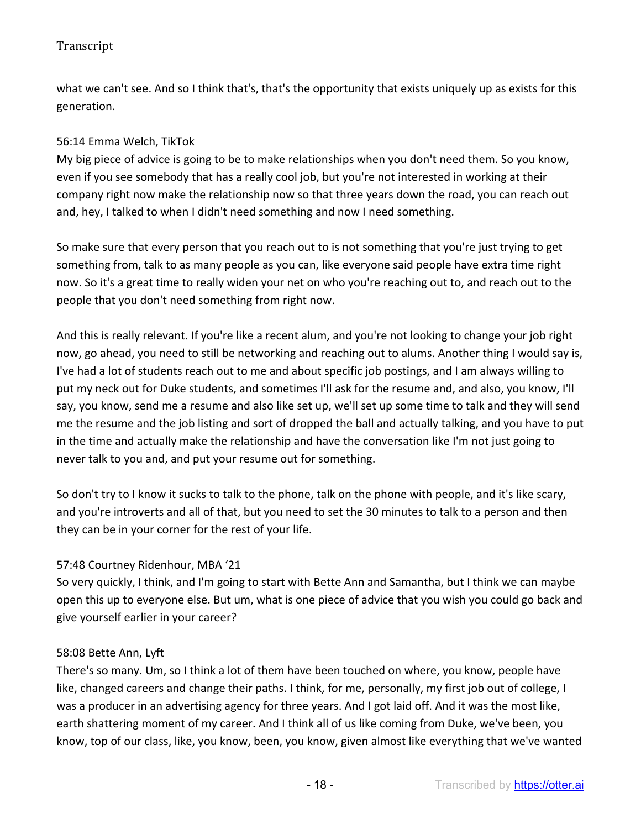what we can't see. And so I think that's, that's the opportunity that exists uniquely up as exists for this generation.

### 56:14 Emma Welch, TikTok

My big piece of advice is going to be to make relationships when you don't need them. So you know, even if you see somebody that has a really cool job, but you're not interested in working at their company right now make the relationship now so that three years down the road, you can reach out and, hey, I talked to when I didn't need something and now I need something.

So make sure that every person that you reach out to is not something that you're just trying to get something from, talk to as many people as you can, like everyone said people have extra time right now. So it's a great time to really widen your net on who you're reaching out to, and reach out to the people that you don't need something from right now.

And this is really relevant. If you're like a recent alum, and you're not looking to change your job right now, go ahead, you need to still be networking and reaching out to alums. Another thing I would say is, I've had a lot of students reach out to me and about specific job postings, and I am always willing to put my neck out for Duke students, and sometimes I'll ask for the resume and, and also, you know, I'll say, you know, send me a resume and also like set up, we'll set up some time to talk and they will send me the resume and the job listing and sort of dropped the ball and actually talking, and you have to put in the time and actually make the relationship and have the conversation like I'm not just going to never talk to you and, and put your resume out for something.

So don't try to I know it sucks to talk to the phone, talk on the phone with people, and it's like scary, and you're introverts and all of that, but you need to set the 30 minutes to talk to a person and then they can be in your corner for the rest of your life.

## 57:48 Courtney Ridenhour, MBA '21

So very quickly, I think, and I'm going to start with Bette Ann and Samantha, but I think we can maybe open this up to everyone else. But um, what is one piece of advice that you wish you could go back and give yourself earlier in your career?

#### 58:08 Bette Ann, Lyft

There's so many. Um, so I think a lot of them have been touched on where, you know, people have like, changed careers and change their paths. I think, for me, personally, my first job out of college, I was a producer in an advertising agency for three years. And I got laid off. And it was the most like, earth shattering moment of my career. And I think all of us like coming from Duke, we've been, you know, top of our class, like, you know, been, you know, given almost like everything that we've wanted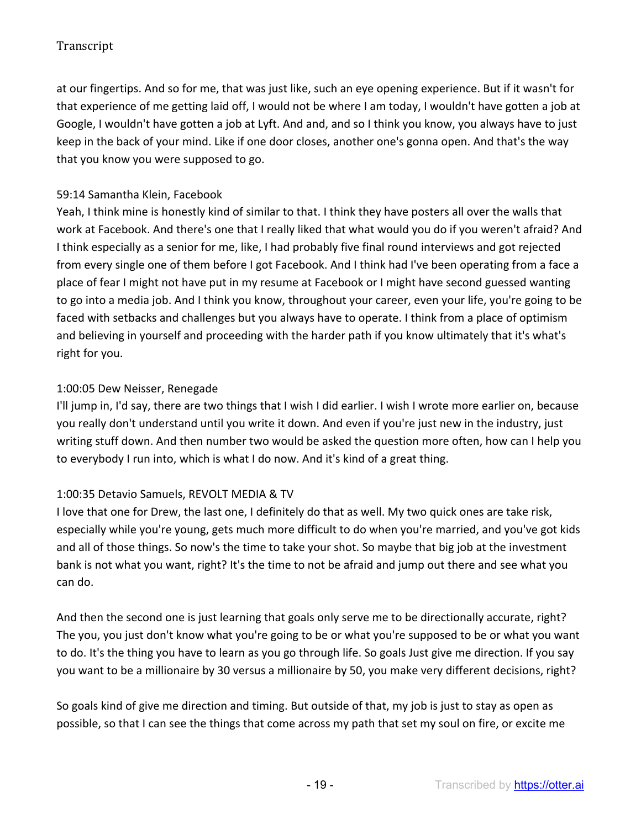at our fingertips. And so for me, that was just like, such an eye opening experience. But if it wasn't for that experience of me getting laid off, I would not be where I am today, I wouldn't have gotten a job at Google, I wouldn't have gotten a job at Lyft. And and, and so I think you know, you always have to just keep in the back of your mind. Like if one door closes, another one's gonna open. And that's the way that you know you were supposed to go.

### 59:14 Samantha Klein, Facebook

Yeah, I think mine is honestly kind of similar to that. I think they have posters all over the walls that work at Facebook. And there's one that I really liked that what would you do if you weren't afraid? And I think especially as a senior for me, like, I had probably five final round interviews and got rejected from every single one of them before I got Facebook. And I think had I've been operating from a face a place of fear I might not have put in my resume at Facebook or I might have second guessed wanting to go into a media job. And I think you know, throughout your career, even your life, you're going to be faced with setbacks and challenges but you always have to operate. I think from a place of optimism and believing in yourself and proceeding with the harder path if you know ultimately that it's what's right for you.

### 1:00:05 Dew Neisser, Renegade

I'll jump in, I'd say, there are two things that I wish I did earlier. I wish I wrote more earlier on, because you really don't understand until you write it down. And even if you're just new in the industry, just writing stuff down. And then number two would be asked the question more often, how can I help you to everybody I run into, which is what I do now. And it's kind of a great thing.

## 1:00:35 Detavio Samuels, REVOLT MEDIA & TV

I love that one for Drew, the last one, I definitely do that as well. My two quick ones are take risk, especially while you're young, gets much more difficult to do when you're married, and you've got kids and all of those things. So now's the time to take your shot. So maybe that big job at the investment bank is not what you want, right? It's the time to not be afraid and jump out there and see what you can do.

And then the second one is just learning that goals only serve me to be directionally accurate, right? The you, you just don't know what you're going to be or what you're supposed to be or what you want to do. It's the thing you have to learn as you go through life. So goals Just give me direction. If you say you want to be a millionaire by 30 versus a millionaire by 50, you make very different decisions, right?

So goals kind of give me direction and timing. But outside of that, my job is just to stay as open as possible, so that I can see the things that come across my path that set my soul on fire, or excite me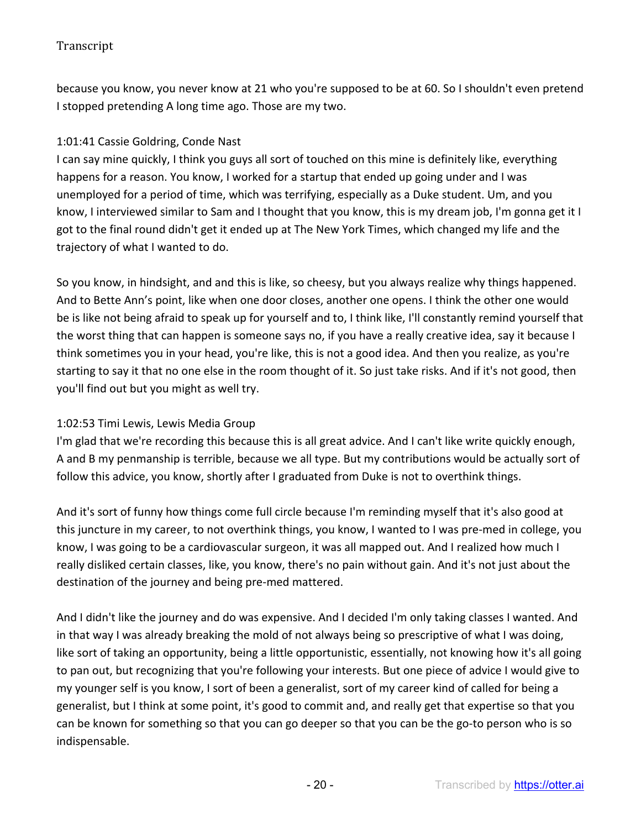because you know, you never know at 21 who you're supposed to be at 60. So I shouldn't even pretend I stopped pretending A long time ago. Those are my two.

### 1:01:41 Cassie Goldring, Conde Nast

I can say mine quickly, I think you guys all sort of touched on this mine is definitely like, everything happens for a reason. You know, I worked for a startup that ended up going under and I was unemployed for a period of time, which was terrifying, especially as a Duke student. Um, and you know, I interviewed similar to Sam and I thought that you know, this is my dream job, I'm gonna get it I got to the final round didn't get it ended up at The New York Times, which changed my life and the trajectory of what I wanted to do.

So you know, in hindsight, and and this is like, so cheesy, but you always realize why things happened. And to Bette Ann's point, like when one door closes, another one opens. I think the other one would be is like not being afraid to speak up for yourself and to, I think like, I'll constantly remind yourself that the worst thing that can happen is someone says no, if you have a really creative idea, say it because I think sometimes you in your head, you're like, this is not a good idea. And then you realize, as you're starting to say it that no one else in the room thought of it. So just take risks. And if it's not good, then you'll find out but you might as well try.

#### 1:02:53 Timi Lewis, Lewis Media Group

I'm glad that we're recording this because this is all great advice. And I can't like write quickly enough, A and B my penmanship is terrible, because we all type. But my contributions would be actually sort of follow this advice, you know, shortly after I graduated from Duke is not to overthink things.

And it's sort of funny how things come full circle because I'm reminding myself that it's also good at this juncture in my career, to not overthink things, you know, I wanted to I was pre-med in college, you know, I was going to be a cardiovascular surgeon, it was all mapped out. And I realized how much I really disliked certain classes, like, you know, there's no pain without gain. And it's not just about the destination of the journey and being pre-med mattered.

And I didn't like the journey and do was expensive. And I decided I'm only taking classes I wanted. And in that way I was already breaking the mold of not always being so prescriptive of what I was doing, like sort of taking an opportunity, being a little opportunistic, essentially, not knowing how it's all going to pan out, but recognizing that you're following your interests. But one piece of advice I would give to my younger self is you know, I sort of been a generalist, sort of my career kind of called for being a generalist, but I think at some point, it's good to commit and, and really get that expertise so that you can be known for something so that you can go deeper so that you can be the go-to person who is so indispensable.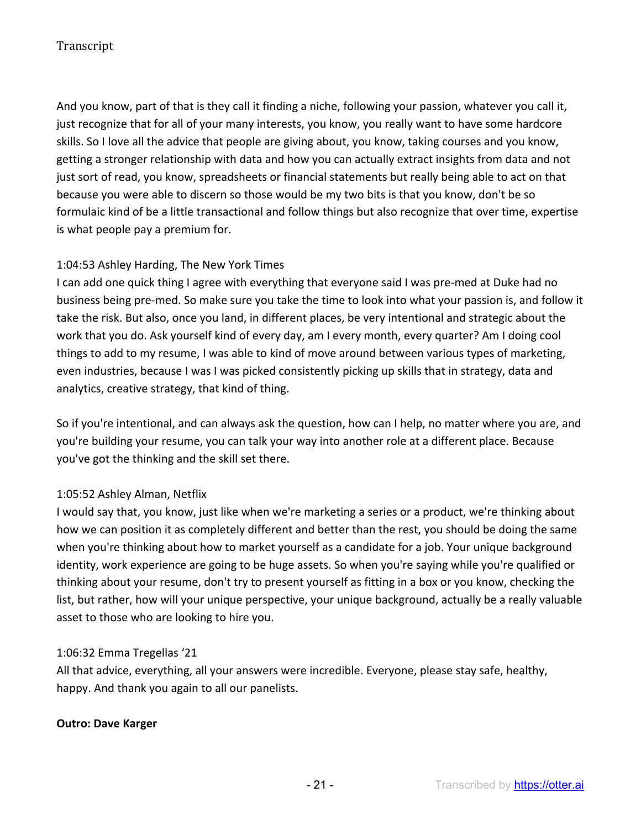And you know, part of that is they call it finding a niche, following your passion, whatever you call it, just recognize that for all of your many interests, you know, you really want to have some hardcore skills. So I love all the advice that people are giving about, you know, taking courses and you know, getting a stronger relationship with data and how you can actually extract insights from data and not just sort of read, you know, spreadsheets or financial statements but really being able to act on that because you were able to discern so those would be my two bits is that you know, don't be so formulaic kind of be a little transactional and follow things but also recognize that over time, expertise is what people pay a premium for.

## 1:04:53 Ashley Harding, The New York Times

I can add one quick thing I agree with everything that everyone said I was pre-med at Duke had no business being pre-med. So make sure you take the time to look into what your passion is, and follow it take the risk. But also, once you land, in different places, be very intentional and strategic about the work that you do. Ask yourself kind of every day, am I every month, every quarter? Am I doing cool things to add to my resume, I was able to kind of move around between various types of marketing, even industries, because I was I was picked consistently picking up skills that in strategy, data and analytics, creative strategy, that kind of thing.

So if you're intentional, and can always ask the question, how can I help, no matter where you are, and you're building your resume, you can talk your way into another role at a different place. Because you've got the thinking and the skill set there.

## 1:05:52 Ashley Alman, Netflix

I would say that, you know, just like when we're marketing a series or a product, we're thinking about how we can position it as completely different and better than the rest, you should be doing the same when you're thinking about how to market yourself as a candidate for a job. Your unique background identity, work experience are going to be huge assets. So when you're saying while you're qualified or thinking about your resume, don't try to present yourself as fitting in a box or you know, checking the list, but rather, how will your unique perspective, your unique background, actually be a really valuable asset to those who are looking to hire you.

#### 1:06:32 Emma Tregellas '21

All that advice, everything, all your answers were incredible. Everyone, please stay safe, healthy, happy. And thank you again to all our panelists.

#### **Outro: Dave Karger**